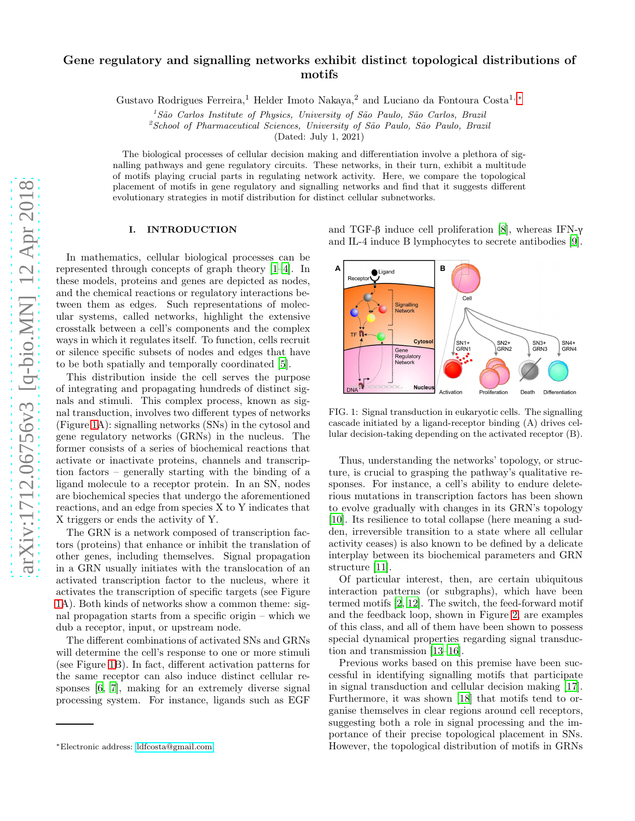# Gene regulatory and signalling networks exhibit distinct topological distributions of motifs

Gustavo Rodrigues Ferreira,<sup>1</sup> Helder Imoto Nakaya,<sup>2</sup> and Luciano da Fontoura Costa<sup>1, \*</sup>

<sup>1</sup>*S˜ao Carlos Institute of Physics, University of S˜ao Paulo, S˜ao Carlos, Brazil*

<sup>2</sup>*School of Pharmaceutical Sciences, University of S˜ao Paulo, S˜ao Paulo, Brazil*

(Dated: July 1, 2021)

The biological processes of cellular decision making and differentiation involve a plethora of signalling pathways and gene regulatory circuits. These networks, in their turn, exhibit a multitude of motifs playing crucial parts in regulating network activity. Here, we compare the topological placement of motifs in gene regulatory and signalling networks and find that it suggests different evolutionary strategies in motif distribution for distinct cellular subnetworks.

# I. INTRODUCTION

In mathematics, cellular biological processes can be represented through concepts of graph theory [\[1](#page-5-0)[–4\]](#page-5-1). In these models, proteins and genes are depicted as nodes, and the chemical reactions or regulatory interactions between them as edges. Such representations of molecular systems, called networks, highlight the extensive crosstalk between a cell's components and the complex ways in which it regulates itself. To function, cells recruit or silence specific subsets of nodes and edges that have to be both spatially and temporally coordinated [\[5\]](#page-5-2).

This distribution inside the cell serves the purpose of integrating and propagating hundreds of distinct signals and stimuli. This complex process, known as signal transduction, involves two different types of networks (Figure [1A](#page-0-1)): signalling networks (SNs) in the cytosol and gene regulatory networks (GRNs) in the nucleus. The former consists of a series of biochemical reactions that activate or inactivate proteins, channels and transcription factors – generally starting with the binding of a ligand molecule to a receptor protein. In an SN, nodes are biochemical species that undergo the aforementioned reactions, and an edge from species X to Y indicates that X triggers or ends the activity of Y.

The GRN is a network composed of transcription factors (proteins) that enhance or inhibit the translation of other genes, including themselves. Signal propagation in a GRN usually initiates with the translocation of an activated transcription factor to the nucleus, where it activates the transcription of specific targets (see Figure [1A](#page-0-1)). Both kinds of networks show a common theme: signal propagation starts from a specific origin – which we dub a receptor, input, or upstream node.

The different combinations of activated SNs and GRNs will determine the cell's response to one or more stimuli (see Figure [1B](#page-0-1)). In fact, different activation patterns for the same receptor can also induce distinct cellular responses [\[6](#page-5-3), [7\]](#page-5-4), making for an extremely diverse signal processing system. For instance, ligands such as EGF

and TGF-β induce cell proliferation [\[8\]](#page-5-5), whereas IFN-γ and IL-4 induce B lymphocytes to secrete antibodies [\[9\]](#page-5-6).



<span id="page-0-1"></span>FIG. 1: Signal transduction in eukaryotic cells. The signalling cascade initiated by a ligand-receptor binding (A) drives cellular decision-taking depending on the activated receptor (B).

Thus, understanding the networks' topology, or structure, is crucial to grasping the pathway's qualitative responses. For instance, a cell's ability to endure deleterious mutations in transcription factors has been shown to evolve gradually with changes in its GRN's topology [\[10\]](#page-5-7). Its resilience to total collapse (here meaning a sudden, irreversible transition to a state where all cellular activity ceases) is also known to be defined by a delicate interplay between its biochemical parameters and GRN structure [\[11\]](#page-5-8).

Of particular interest, then, are certain ubiquitous interaction patterns (or subgraphs), which have been termed motifs [\[2,](#page-5-9) [12](#page-5-10)]. The switch, the feed-forward motif and the feedback loop, shown in Figure [2,](#page-1-0) are examples of this class, and all of them have been shown to possess special dynamical properties regarding signal transduction and transmission [\[13](#page-5-11)[–16](#page-5-12)].

Previous works based on this premise have been successful in identifying signalling motifs that participate in signal transduction and cellular decision making [\[17\]](#page-5-13). Furthermore, it was shown [\[18](#page-5-14)] that motifs tend to organise themselves in clear regions around cell receptors, suggesting both a role in signal processing and the importance of their precise topological placement in SNs. However, the topological distribution of motifs in GRNs

<span id="page-0-0"></span><sup>∗</sup>Electronic address: [ldfcosta@gmail.com](mailto:ldfcosta@gmail.com)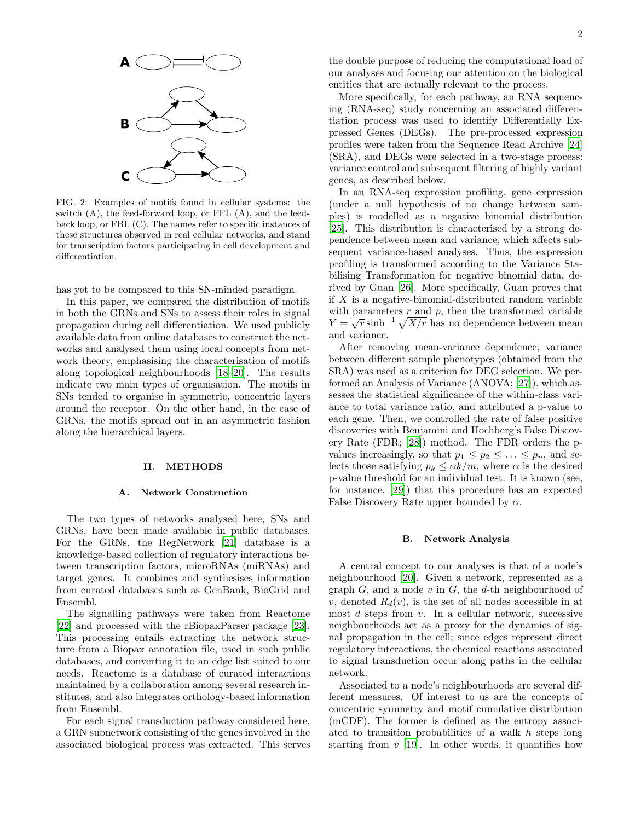

<span id="page-1-0"></span>FIG. 2: Examples of motifs found in cellular systems: the switch (A), the feed-forward loop, or FFL (A), and the feedback loop, or FBL (C). The names refer to specific instances of these structures observed in real cellular networks, and stand for transcription factors participating in cell development and differentiation.

has yet to be compared to this SN-minded paradigm.

In this paper, we compared the distribution of motifs in both the GRNs and SNs to assess their roles in signal propagation during cell differentiation. We used publicly available data from online databases to construct the networks and analysed them using local concepts from network theory, emphasising the characterisation of motifs along topological neighbourhoods [\[18](#page-5-14)[–20\]](#page-5-15). The results indicate two main types of organisation. The motifs in SNs tended to organise in symmetric, concentric layers around the receptor. On the other hand, in the case of GRNs, the motifs spread out in an asymmetric fashion along the hierarchical layers.

#### II. METHODS

## <span id="page-1-1"></span>A. Network Construction

The two types of networks analysed here, SNs and GRNs, have been made available in public databases. For the GRNs, the RegNetwork [\[21](#page-5-16)] database is a knowledge-based collection of regulatory interactions between transcription factors, microRNAs (miRNAs) and target genes. It combines and synthesises information from curated databases such as GenBank, BioGrid and Ensembl.

The signalling pathways were taken from Reactome [\[22\]](#page-5-17) and processed with the rBiopaxParser package [\[23\]](#page-5-18). This processing entails extracting the network structure from a Biopax annotation file, used in such public databases, and converting it to an edge list suited to our needs. Reactome is a database of curated interactions maintained by a collaboration among several research institutes, and also integrates orthology-based information from Ensembl.

For each signal transduction pathway considered here, a GRN subnetwork consisting of the genes involved in the associated biological process was extracted. This serves

the double purpose of reducing the computational load of our analyses and focusing our attention on the biological entities that are actually relevant to the process.

More specifically, for each pathway, an RNA sequencing (RNA-seq) study concerning an associated differentiation process was used to identify Differentially Expressed Genes (DEGs). The pre-processed expression profiles were taken from the Sequence Read Archive [\[24](#page-5-19)] (SRA), and DEGs were selected in a two-stage process: variance control and subsequent filtering of highly variant genes, as described below.

In an RNA-seq expression profiling, gene expression (under a null hypothesis of no change between samples) is modelled as a negative binomial distribution [\[25\]](#page-5-20). This distribution is characterised by a strong dependence between mean and variance, which affects subsequent variance-based analyses. Thus, the expression profiling is transformed according to the Variance Stabilising Transformation for negative binomial data, derived by Guan [\[26](#page-5-21)]. More specifically, Guan proves that if  $X$  is a negative-binomial-distributed random variable with parameters  $r$  and  $p$ , then the transformed variable  $Y = \sqrt{r} \sinh^{-1} \sqrt{X/r}$  has no dependence between mean and variance.

After removing mean-variance dependence, variance between different sample phenotypes (obtained from the SRA) was used as a criterion for DEG selection. We performed an Analysis of Variance (ANOVA; [\[27](#page-5-22)]), which assesses the statistical significance of the within-class variance to total variance ratio, and attributed a p-value to each gene. Then, we controlled the rate of false positive discoveries with Benjamini and Hochberg's False Discovery Rate (FDR; [\[28\]](#page-5-23)) method. The FDR orders the pvalues increasingly, so that  $p_1 \leq p_2 \leq \ldots \leq p_n$ , and selects those satisfying  $p_k \leq \alpha k/m$ , where  $\alpha$  is the desired p-value threshold for an individual test. It is known (see, for instance, [\[29\]](#page-6-0)) that this procedure has an expected False Discovery Rate upper bounded by  $\alpha$ .

## <span id="page-1-2"></span>B. Network Analysis

A central concept to our analyses is that of a node's neighbourhood [\[20\]](#page-5-15). Given a network, represented as a graph  $G$ , and a node  $v$  in  $G$ , the  $d$ -th neighbourhood of v, denoted  $R_d(v)$ , is the set of all nodes accessible in at most  $d$  steps from  $v$ . In a cellular network, successive neighbourhoods act as a proxy for the dynamics of signal propagation in the cell; since edges represent direct regulatory interactions, the chemical reactions associated to signal transduction occur along paths in the cellular network.

Associated to a node's neighbourhoods are several different measures. Of interest to us are the concepts of concentric symmetry and motif cumulative distribution (mCDF). The former is defined as the entropy associated to transition probabilities of a walk h steps long starting from  $v$  [\[19\]](#page-5-24). In other words, it quantifies how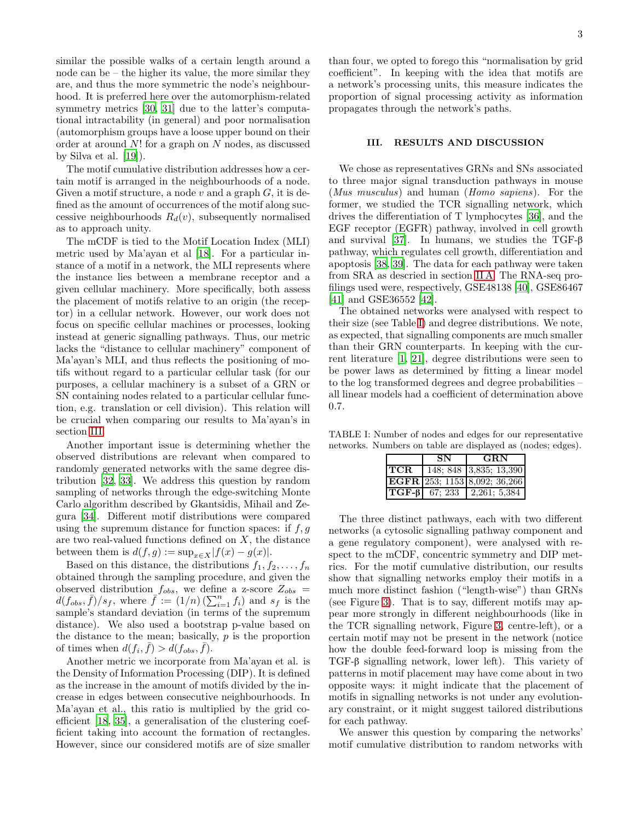similar the possible walks of a certain length around a node can be – the higher its value, the more similar they are, and thus the more symmetric the node's neighbourhood. It is preferred here over the automorphism-related symmetry metrics [\[30,](#page-6-1) [31\]](#page-6-2) due to the latter's computational intractability (in general) and poor normalisation (automorphism groups have a loose upper bound on their order at around N! for a graph on N nodes, as discussed by Silva et al. [\[19](#page-5-24)]).

The motif cumulative distribution addresses how a certain motif is arranged in the neighbourhoods of a node. Given a motif structure, a node  $v$  and a graph  $G$ , it is defined as the amount of occurrences of the motif along successive neighbourhoods  $R_d(v)$ , subsequently normalised as to approach unity.

The mCDF is tied to the Motif Location Index (MLI) metric used by Ma'ayan et al [\[18](#page-5-14)]. For a particular instance of a motif in a network, the MLI represents where the instance lies between a membrane receptor and a given cellular machinery. More specifically, both assess the placement of motifs relative to an origin (the receptor) in a cellular network. However, our work does not focus on specific cellular machines or processes, looking instead at generic signalling pathways. Thus, our metric lacks the "distance to cellular machinery" component of Ma'ayan's MLI, and thus reflects the positioning of motifs without regard to a particular cellular task (for our purposes, a cellular machinery is a subset of a GRN or SN containing nodes related to a particular cellular function, e.g. translation or cell division). This relation will be crucial when comparing our results to Ma'ayan's in section [III.](#page-2-0)

Another important issue is determining whether the observed distributions are relevant when compared to randomly generated networks with the same degree distribution [\[32](#page-6-3), [33\]](#page-6-4). We address this question by random sampling of networks through the edge-switching Monte Carlo algorithm described by Gkantsidis, Mihail and Zegura [\[34\]](#page-6-5). Different motif distributions were compared using the supremum distance for function spaces: if  $f, g$ are two real-valued functions defined on  $X$ , the distance between them is  $d(f, g) := \sup_{x \in X} |f(x) - g(x)|$ .

Based on this distance, the distributions  $f_1, f_2, \ldots, f_n$ obtained through the sampling procedure, and given the observed distribution  $f_{obs}$ , we define a z-score  $Z_{obs}$  =  $d(f_{obs}, \bar{f})/s_f$ , where  $\bar{f} := (1/n) \left(\sum_{i=1}^n f_i\right)$  and  $s_f$  is the sample's standard deviation (in terms of the supremum distance). We also used a bootstrap p-value based on the distance to the mean; basically,  $p$  is the proportion of times when  $d(f_i, \bar{f}) > d(f_{obs}, \bar{f}).$ 

Another metric we incorporate from Ma'ayan et al. is the Density of Information Processing (DIP). It is defined as the increase in the amount of motifs divided by the increase in edges between consecutive neighbourhoods. In Ma'ayan et al., this ratio is multiplied by the grid coefficient [\[18](#page-5-14), [35\]](#page-6-6), a generalisation of the clustering coefficient taking into account the formation of rectangles. However, since our considered motifs are of size smaller than four, we opted to forego this "normalisation by grid coefficient". In keeping with the idea that motifs are a network's processing units, this measure indicates the proportion of signal processing activity as information propagates through the network's paths.

## <span id="page-2-0"></span>III. RESULTS AND DISCUSSION

We chose as representatives GRNs and SNs associated to three major signal transduction pathways in mouse (Mus musculus) and human (Homo sapiens). For the former, we studied the TCR signalling network, which drives the differentiation of T lymphocytes [\[36\]](#page-6-7), and the EGF receptor (EGFR) pathway, involved in cell growth and survival [\[37\]](#page-6-8). In humans, we studies the TGF- $\beta$ pathway, which regulates cell growth, differentiation and apoptosis [\[38](#page-6-9), [39\]](#page-6-10). The data for each pathway were taken from SRA as descried in section [II A.](#page-1-1) The RNA-seq profilings used were, respectively, GSE48138 [\[40\]](#page-6-11), GSE86467 [\[41\]](#page-6-12) and GSE36552 [\[42](#page-6-13)].

The obtained networks were analysed with respect to their size (see Table [I\)](#page-2-1) and degree distributions. We note, as expected, that signalling components are much smaller than their GRN counterparts. In keeping with the current literature [\[1,](#page-5-0) [21](#page-5-16)], degree distributions were seen to be power laws as determined by fitting a linear model to the log transformed degrees and degree probabilities – all linear models had a coefficient of determination above 0.7.

TABLE I: Number of nodes and edges for our representative networks. Numbers on table are displayed as (nodes; edges).

<span id="page-2-1"></span>

|      | $\mathbf{S} \mathbf{N}$ | <b>GRN</b>                                                      |
|------|-------------------------|-----------------------------------------------------------------|
| TCR. |                         | 148; 848 3,835; 13,390                                          |
|      |                         | $\textbf{EGFR}$ 253; 1153 8,092; 36,266                         |
|      |                         | $\textbf{ TGF-6} $ 67; 233 $\textbf{ } 2,261; 5,384 \textbf{ }$ |

The three distinct pathways, each with two different networks (a cytosolic signalling pathway component and a gene regulatory component), were analysed with respect to the mCDF, concentric symmetry and DIP metrics. For the motif cumulative distribution, our results show that signalling networks employ their motifs in a much more distinct fashion ("length-wise") than GRNs (see Figure [3\)](#page-3-0). That is to say, different motifs may appear more strongly in different neighbourhoods (like in the TCR signalling network, Figure [3,](#page-3-0) centre-left), or a certain motif may not be present in the network (notice how the double feed-forward loop is missing from the TGF-β signalling network, lower left). This variety of patterns in motif placement may have come about in two opposite ways: it might indicate that the placement of motifs in signalling networks is not under any evolutionary constraint, or it might suggest tailored distributions for each pathway.

We answer this question by comparing the networks' motif cumulative distribution to random networks with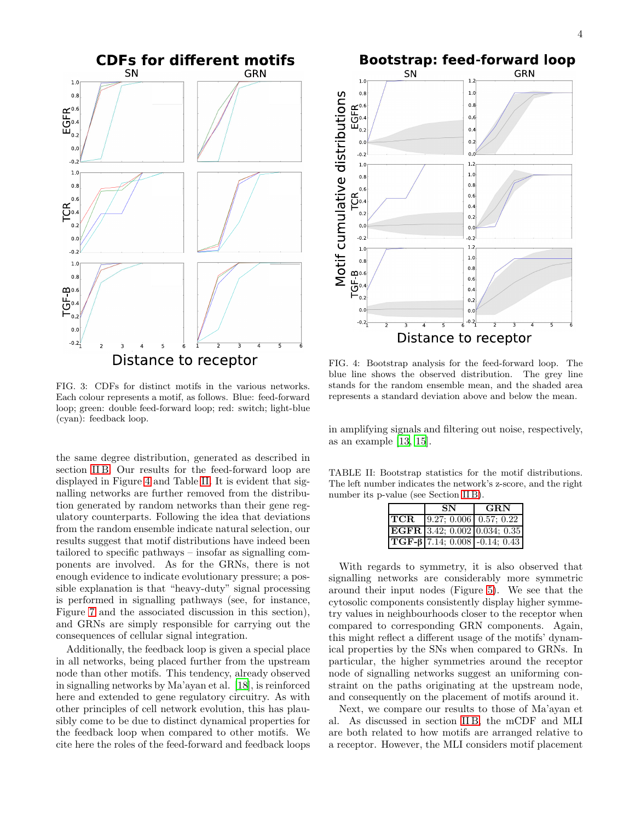

<span id="page-3-0"></span>FIG. 3: CDFs for distinct motifs in the various networks. Each colour represents a motif, as follows. Blue: feed-forward loop; green: double feed-forward loop; red: switch; light-blue (cyan): feedback loop.

the same degree distribution, generated as described in section [II B.](#page-1-2) Our results for the feed-forward loop are displayed in Figure [4](#page-3-1) and Table [II.](#page-3-2) It is evident that signalling networks are further removed from the distribution generated by random networks than their gene regulatory counterparts. Following the idea that deviations from the random ensemble indicate natural selection, our results suggest that motif distributions have indeed been tailored to specific pathways – insofar as signalling components are involved. As for the GRNs, there is not enough evidence to indicate evolutionary pressure; a possible explanation is that "heavy-duty" signal processing is performed in signalling pathways (see, for instance, Figure [7](#page-4-0) and the associated discussion in this section), and GRNs are simply responsible for carrying out the consequences of cellular signal integration.

Additionally, the feedback loop is given a special place in all networks, being placed further from the upstream node than other motifs. This tendency, already observed in signalling networks by Ma'ayan et al. [\[18](#page-5-14)], is reinforced here and extended to gene regulatory circuitry. As with other principles of cell network evolution, this has plausibly come to be due to distinct dynamical properties for the feedback loop when compared to other motifs. We cite here the roles of the feed-forward and feedback loops



<span id="page-3-1"></span>FIG. 4: Bootstrap analysis for the feed-forward loop. The blue line shows the observed distribution. The grey line stands for the random ensemble mean, and the shaded area represents a standard deviation above and below the mean.

in amplifying signals and filtering out noise, respectively, as an example [\[13,](#page-5-11) [15\]](#page-5-25).

TABLE II: Bootstrap statistics for the motif distributions. The left number indicates the network's z-score, and the right number its p-value (see Section [II B\)](#page-1-2).

<span id="page-3-2"></span>

| SN | <b>GRN</b>                                 |
|----|--------------------------------------------|
|    | <b>TCR</b>   $9.27; 0.006$   0.57; 0.22    |
|    | $ \mathbf{EGFR} $ 3.42; 0.002 0.034; 0.35  |
|    | $\text{TGF-}\beta$ 7.14; 0.008 -0.14; 0.43 |

With regards to symmetry, it is also observed that signalling networks are considerably more symmetric around their input nodes (Figure [5\)](#page-4-1). We see that the cytosolic components consistently display higher symmetry values in neighbourhoods closer to the receptor when compared to corresponding GRN components. Again, this might reflect a different usage of the motifs' dynamical properties by the SNs when compared to GRNs. In particular, the higher symmetries around the receptor node of signalling networks suggest an uniforming constraint on the paths originating at the upstream node, and consequently on the placement of motifs around it.

Next, we compare our results to those of Ma'ayan et al. As discussed in section [II B,](#page-1-2) the mCDF and MLI are both related to how motifs are arranged relative to a receptor. However, the MLI considers motif placement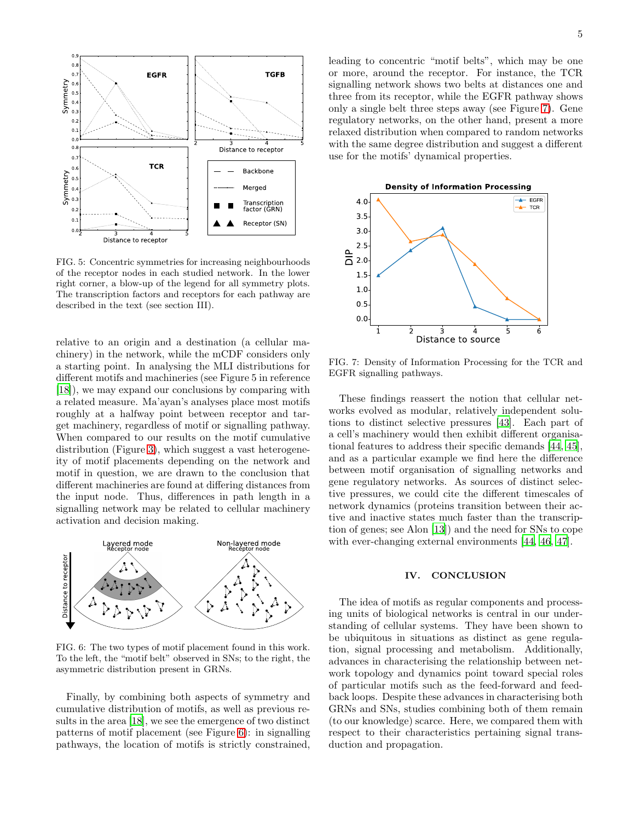

<span id="page-4-1"></span>FIG. 5: Concentric symmetries for increasing neighbourhoods of the receptor nodes in each studied network. In the lower right corner, a blow-up of the legend for all symmetry plots. The transcription factors and receptors for each pathway are described in the text (see section III).

relative to an origin and a destination (a cellular machinery) in the network, while the mCDF considers only a starting point. In analysing the MLI distributions for different motifs and machineries (see Figure 5 in reference [\[18\]](#page-5-14)), we may expand our conclusions by comparing with a related measure. Ma'ayan's analyses place most motifs roughly at a halfway point between receptor and target machinery, regardless of motif or signalling pathway. When compared to our results on the motif cumulative distribution (Figure [3\)](#page-3-0), which suggest a vast heterogeneity of motif placements depending on the network and motif in question, we are drawn to the conclusion that different machineries are found at differing distances from the input node. Thus, differences in path length in a signalling network may be related to cellular machinery activation and decision making.



<span id="page-4-2"></span>FIG. 6: The two types of motif placement found in this work. To the left, the "motif belt" observed in SNs; to the right, the asymmetric distribution present in GRNs.

Finally, by combining both aspects of symmetry and cumulative distribution of motifs, as well as previous results in the area [\[18](#page-5-14)], we see the emergence of two distinct patterns of motif placement (see Figure [6\)](#page-4-2): in signalling pathways, the location of motifs is strictly constrained,

leading to concentric "motif belts", which may be one or more, around the receptor. For instance, the TCR signalling network shows two belts at distances one and three from its receptor, while the EGFR pathway shows only a single belt three steps away (see Figure [7\)](#page-4-0). Gene regulatory networks, on the other hand, present a more relaxed distribution when compared to random networks with the same degree distribution and suggest a different use for the motifs' dynamical properties.



<span id="page-4-0"></span>FIG. 7: Density of Information Processing for the TCR and EGFR signalling pathways.

These findings reassert the notion that cellular networks evolved as modular, relatively independent solutions to distinct selective pressures [\[43](#page-6-14)]. Each part of a cell's machinery would then exhibit different organisational features to address their specific demands [\[44,](#page-6-15) [45\]](#page-6-16), and as a particular example we find here the difference between motif organisation of signalling networks and gene regulatory networks. As sources of distinct selective pressures, we could cite the different timescales of network dynamics (proteins transition between their active and inactive states much faster than the transcription of genes; see Alon [\[13\]](#page-5-11)) and the need for SNs to cope with ever-changing external environments [\[44](#page-6-15), [46](#page-6-17), [47](#page-6-18)].

# IV. CONCLUSION

The idea of motifs as regular components and processing units of biological networks is central in our understanding of cellular systems. They have been shown to be ubiquitous in situations as distinct as gene regulation, signal processing and metabolism. Additionally, advances in characterising the relationship between network topology and dynamics point toward special roles of particular motifs such as the feed-forward and feedback loops. Despite these advances in characterising both GRNs and SNs, studies combining both of them remain (to our knowledge) scarce. Here, we compared them with respect to their characteristics pertaining signal transduction and propagation.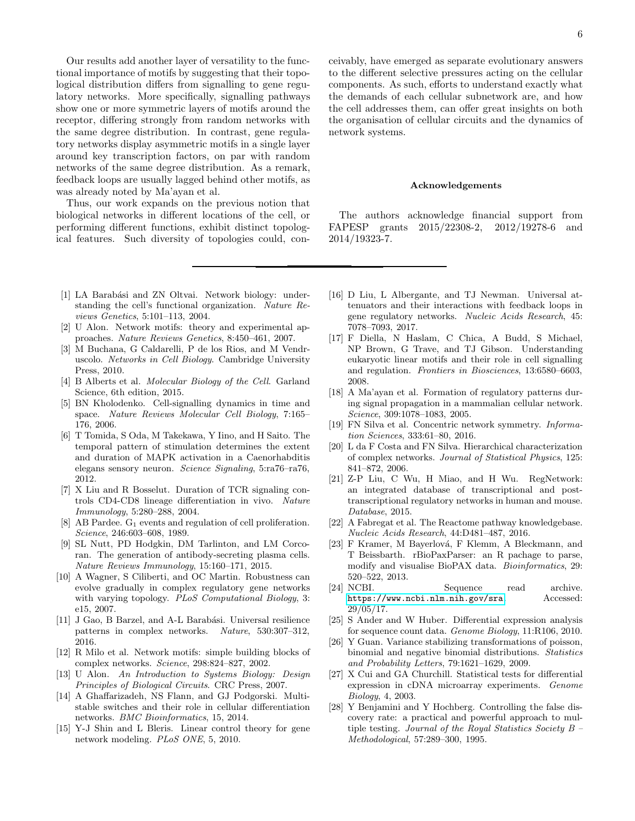Our results add another layer of versatility to the functional importance of motifs by suggesting that their topological distribution differs from signalling to gene regulatory networks. More specifically, signalling pathways show one or more symmetric layers of motifs around the receptor, differing strongly from random networks with the same degree distribution. In contrast, gene regulatory networks display asymmetric motifs in a single layer around key transcription factors, on par with random networks of the same degree distribution. As a remark, feedback loops are usually lagged behind other motifs, as was already noted by Ma'ayan et al.

Thus, our work expands on the previous notion that biological networks in different locations of the cell, or performing different functions, exhibit distinct topological features. Such diversity of topologies could, con-

- <span id="page-5-0"></span>[1] LA Barabási and ZN Oltvai. Network biology: understanding the cell's functional organization. *Nature Reviews Genetics*, 5:101–113, 2004.
- <span id="page-5-9"></span>[2] U Alon. Network motifs: theory and experimental approaches. *Nature Reviews Genetics*, 8:450–461, 2007.
- [3] M Buchana, G Caldarelli, P de los Rios, and M Vendruscolo. *Networks in Cell Biology*. Cambridge University Press, 2010.
- <span id="page-5-1"></span>[4] B Alberts et al. *Molecular Biology of the Cell*. Garland Science, 6th edition, 2015.
- <span id="page-5-2"></span>[5] BN Kholodenko. Cell-signalling dynamics in time and space. *Nature Reviews Molecular Cell Biology*, 7:165– 176, 2006.
- <span id="page-5-3"></span>[6] T Tomida, S Oda, M Takekawa, Y Iino, and H Saito. The temporal pattern of stimulation determines the extent and duration of MAPK activation in a Caenorhabditis elegans sensory neuron. *Science Signaling*, 5:ra76–ra76, 2012.
- <span id="page-5-4"></span>[7] X Liu and R Bosselut. Duration of TCR signaling controls CD4-CD8 lineage differentiation in vivo. *Nature Immunology*, 5:280–288, 2004.
- <span id="page-5-5"></span>[8] AB Pardee.  $G_1$  events and regulation of cell proliferation. *Science*, 246:603–608, 1989.
- <span id="page-5-6"></span>[9] SL Nutt, PD Hodgkin, DM Tarlinton, and LM Corcoran. The generation of antibody-secreting plasma cells. *Nature Reviews Immunology*, 15:160–171, 2015.
- <span id="page-5-7"></span>[10] A Wagner, S Ciliberti, and OC Martin. Robustness can evolve gradually in complex regulatory gene networks with varying topology. *PLoS Computational Biology*, 3: e15, 2007.
- <span id="page-5-8"></span>[11] J Gao, B Barzel, and A-L Barabási. Universal resilience patterns in complex networks. *Nature*, 530:307–312, 2016.
- <span id="page-5-10"></span>[12] R Milo et al. Network motifs: simple building blocks of complex networks. *Science*, 298:824–827, 2002.
- <span id="page-5-11"></span>[13] U Alon. *An Introduction to Systems Biology: Design Principles of Biological Circuits*. CRC Press, 2007.
- [14] A Ghaffarizadeh, NS Flann, and GJ Podgorski. Multistable switches and their role in cellular differentiation networks. *BMC Bioinformatics*, 15, 2014.
- <span id="page-5-25"></span>[15] Y-J Shin and L Bleris. Linear control theory for gene network modeling. *PLoS ONE*, 5, 2010.

ceivably, have emerged as separate evolutionary answers to the different selective pressures acting on the cellular components. As such, efforts to understand exactly what the demands of each cellular subnetwork are, and how the cell addresses them, can offer great insights on both the organisation of cellular circuits and the dynamics of network systems.

## Acknowledgements

The authors acknowledge financial support from FAPESP grants 2015/22308-2, 2012/19278-6 and 2014/19323-7.

- <span id="page-5-12"></span>[16] D Liu, L Albergante, and TJ Newman. Universal attenuators and their interactions with feedback loops in gene regulatory networks. *Nucleic Acids Research*, 45: 7078–7093, 2017.
- <span id="page-5-13"></span>[17] F Diella, N Haslam, C Chica, A Budd, S Michael, NP Brown, G Trave, and TJ Gibson. Understanding eukaryotic linear motifs and their role in cell signalling and regulation. *Frontiers in Biosciences*, 13:6580–6603, 2008.
- <span id="page-5-14"></span>[18] A Ma'ayan et al. Formation of regulatory patterns during signal propagation in a mammalian cellular network. *Science*, 309:1078–1083, 2005.
- <span id="page-5-24"></span>[19] FN Silva et al. Concentric network symmetry. *Information Sciences*, 333:61–80, 2016.
- <span id="page-5-15"></span>[20] L da F Costa and FN Silva. Hierarchical characterization of complex networks. *Journal of Statistical Physics*, 125: 841–872, 2006.
- <span id="page-5-16"></span>[21] Z-P Liu, C Wu, H Miao, and H Wu. RegNetwork: an integrated database of transcriptional and posttranscriptional regulatory networks in human and mouse. *Database*, 2015.
- <span id="page-5-17"></span>[22] A Fabregat et al. The Reactome pathway knowledgebase. *Nucleic Acids Research*, 44:D481–487, 2016.
- <span id="page-5-18"></span>[23] F Kramer, M Bayerlová, F Klemm, A Bleckmann, and T Beissbarth. rBioPaxParser: an R pachage to parse, modify and visualise BioPAX data. *Bioinformatics*, 29: 520–522, 2013.
- <span id="page-5-19"></span>[24] NCBI. Sequence read archive. <https://www.ncbi.nlm.nih.gov/sra>. Accessed: 29/05/17.
- <span id="page-5-20"></span>[25] S Ander and W Huber. Differential expression analysis for sequence count data. *Genome Biology*, 11:R106, 2010.
- <span id="page-5-21"></span>[26] Y Guan. Variance stabilizing transformations of poisson, binomial and negative binomial distributions. *Statistics and Probability Letters*, 79:1621–1629, 2009.
- <span id="page-5-22"></span>[27] X Cui and GA Churchill. Statistical tests for differential expression in cDNA microarray experiments. *Genome Biology*, 4, 2003.
- <span id="page-5-23"></span>[28] Y Benjamini and Y Hochberg. Controlling the false discovery rate: a practical and powerful approach to multiple testing. *Journal of the Royal Statistics Society B – Methodological*, 57:289–300, 1995.